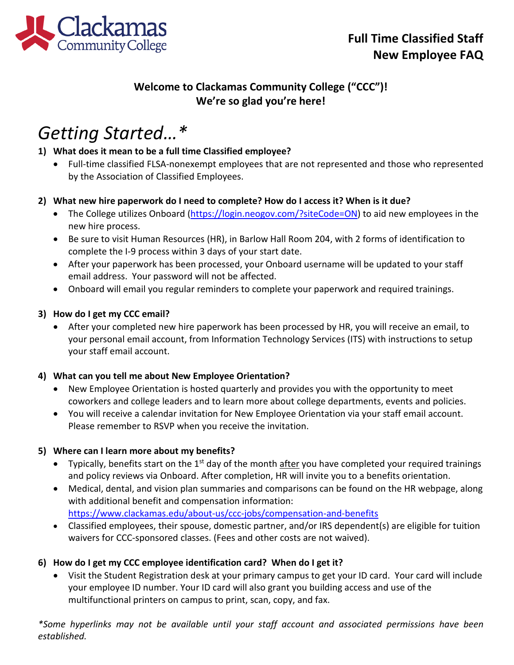

# **Welcome to Clackamas Community College ("CCC")! We're so glad you're here!**

# *Getting Started…\**

#### **1) What does it mean to be a full time Classified employee?**

• Full-time classified FLSA-nonexempt employees that are not represented and those who represented by the Association of Classified Employees.

#### **2) What new hire paperwork do I need to complete? How do I access it? When is it due?**

- The College utilizes Onboard [\(https://login.neogov.com/?siteCode=ON\)](https://login.neogov.com/?siteCode=ON) to aid new employees in the new hire process.
- Be sure to visit Human Resources (HR), in Barlow Hall Room 204, with 2 forms of identification to complete the I-9 process within 3 days of your start date.
- After your paperwork has been processed, your Onboard username will be updated to your staff email address. Your password will not be affected.
- Onboard will email you regular reminders to complete your paperwork and required trainings.

#### **3) How do I get my CCC email?**

• After your completed new hire paperwork has been processed by HR, you will receive an email, to your personal email account, from Information Technology Services (ITS) with instructions to setup your staff email account.

#### **4) What can you tell me about New Employee Orientation?**

- New Employee Orientation is hosted quarterly and provides you with the opportunity to meet coworkers and college leaders and to learn more about college departments, events and policies.
- You will receive a calendar invitation for New Employee Orientation via your staff email account. Please remember to RSVP when you receive the invitation.

#### **5) Where can I learn more about my benefits?**

- Typically, benefits start on the  $1<sup>st</sup>$  day of the month after you have completed your required trainings and policy reviews via Onboard. After completion, HR will invite you to a benefits orientation.
- Medical, dental, and vision plan summaries and comparisons can be found on the HR webpage, along with additional benefit and compensation information: <https://www.clackamas.edu/about-us/ccc-jobs/compensation-and-benefits>
- Classified employees, their spouse, domestic partner, and/or IRS dependent(s) are eligible for tuition waivers for CCC-sponsored classes. (Fees and other costs are not waived).

## **6) How do I get my CCC employee identification card? When do I get it?**

• Visit the Student Registration desk at your primary campus to get your ID card. Your card will include your employee ID number. Your ID card will also grant you building access and use of the multifunctional printers on campus to print, scan, copy, and fax.

*\*Some hyperlinks may not be available until your staff account and associated permissions have been established.*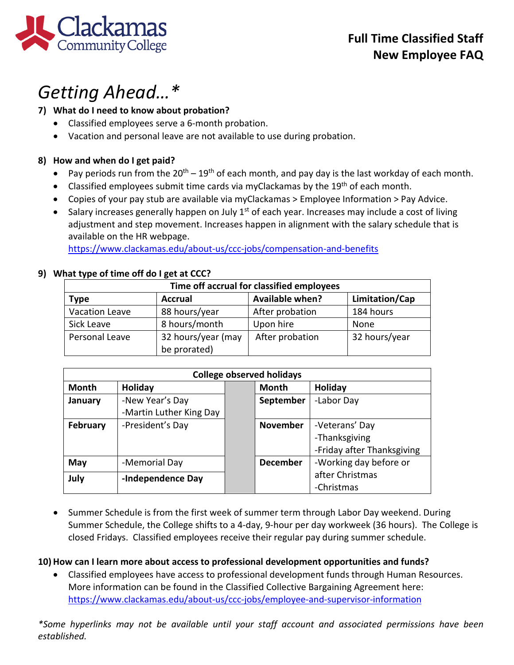

# *Getting Ahead…\**

# **7) What do I need to know about probation?**

- Classified employees serve a 6-month probation.
- Vacation and personal leave are not available to use during probation.

# **8) How and when do I get paid?**

- Pay periods run from the  $20^{th} 19^{th}$  of each month, and pay day is the last workday of each month.
- Classified employees submit time cards via myClackamas by the  $19<sup>th</sup>$  of each month.
- Copies of your pay stub are available via myClackamas > Employee Information > Pay Advice.
- Salary increases generally happen on July  $1<sup>st</sup>$  of each year. Increases may include a cost of living adjustment and step movement. Increases happen in alignment with the salary schedule that is available on the HR webpage.

<https://www.clackamas.edu/about-us/ccc-jobs/compensation-and-benefits>

# **9) What type of time off do I get at CCC?**

| Time off accrual for classified employees |                                    |                        |                |  |  |
|-------------------------------------------|------------------------------------|------------------------|----------------|--|--|
| <b>Type</b>                               | <b>Accrual</b>                     | <b>Available when?</b> | Limitation/Cap |  |  |
| Vacation Leave                            | 88 hours/year                      | After probation        | 184 hours      |  |  |
| Sick Leave                                | 8 hours/month                      | Upon hire              | None           |  |  |
| Personal Leave                            | 32 hours/year (may<br>be prorated) | After probation        | 32 hours/year  |  |  |

| <b>College observed holidays</b> |                         |  |                 |                            |  |  |
|----------------------------------|-------------------------|--|-----------------|----------------------------|--|--|
| <b>Month</b>                     | Holiday                 |  | Month           | Holiday                    |  |  |
| January                          | -New Year's Day         |  | September       | -Labor Day                 |  |  |
|                                  | -Martin Luther King Day |  |                 |                            |  |  |
| February                         | -President's Day        |  | <b>November</b> | -Veterans' Day             |  |  |
|                                  |                         |  |                 | -Thanksgiving              |  |  |
|                                  |                         |  |                 | -Friday after Thanksgiving |  |  |
| May                              | -Memorial Day           |  | <b>December</b> | -Working day before or     |  |  |
| July                             | -Independence Day       |  |                 | after Christmas            |  |  |
|                                  |                         |  |                 | -Christmas                 |  |  |

• Summer Schedule is from the first week of summer term through Labor Day weekend. During Summer Schedule, the College shifts to a 4-day, 9-hour per day workweek (36 hours). The College is closed Fridays. Classified employees receive their regular pay during summer schedule.

## **10) How can I learn more about access to professional development opportunities and funds?**

• Classified employees have access to professional development funds through Human Resources. More information can be found in the Classified Collective Bargaining Agreement here: <https://www.clackamas.edu/about-us/ccc-jobs/employee-and-supervisor-information>

*\*Some hyperlinks may not be available until your staff account and associated permissions have been established.*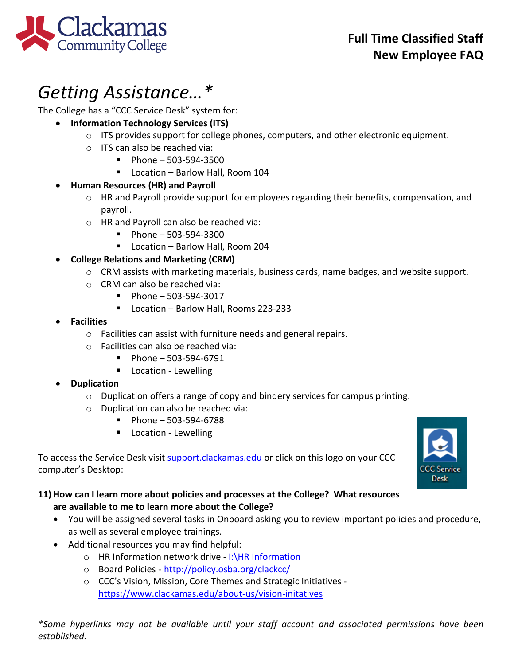

**Clackamas**<br>Community College

The College has a "CCC Service Desk" system for:

- **Information Technology Services (ITS)**
	- $\circ$  ITS provides support for college phones, computers, and other electronic equipment.
	- o ITS can also be reached via:
		- $Phone 503-594-3500$
		- Location Barlow Hall, Room 104

## • **Human Resources (HR) and Payroll**

- o HR and Payroll provide support for employees regarding their benefits, compensation, and payroll.
- o HR and Payroll can also be reached via:
	- $\blacksquare$  Phone 503-594-3300
	- Location Barlow Hall, Room 204

## • **College Relations and Marketing (CRM)**

- o CRM assists with marketing materials, business cards, name badges, and website support.
- o CRM can also be reached via:
	- $\blacksquare$  Phone 503-594-3017
	- Location Barlow Hall, Rooms 223-233
- **Facilities**
	- o Facilities can assist with furniture needs and general repairs.
	- o Facilities can also be reached via:
		- $\blacksquare$  Phone 503-594-6791
		- **Location Lewelling**

## • **Duplication**

- $\circ$  Duplication offers a range of copy and bindery services for campus printing.
- o Duplication can also be reached via:
	- $\blacksquare$  Phone 503-594-6788
	- **Location Lewelling**

To access the Service Desk visit [support.clackamas.edu](https://clackamas.teamdynamix.com/TDClient/Home/) or click on this logo on your CCC computer's Desktop:

## **11) How can I learn more about policies and processes at the College? What resources are available to me to learn more about the College?**

- You will be assigned several tasks in Onboard asking you to review important policies and procedure, as well as several employee trainings.
- Additional resources you may find helpful:
	- o HR Information network drive I:\HR Information
	- o Board Policies <http://policy.osba.org/clackcc/>
	- o CCC's Vision, Mission, Core Themes and Strategic Initiatives <https://www.clackamas.edu/about-us/vision-initatives>

*\*Some hyperlinks may not be available until your staff account and associated permissions have been established.*